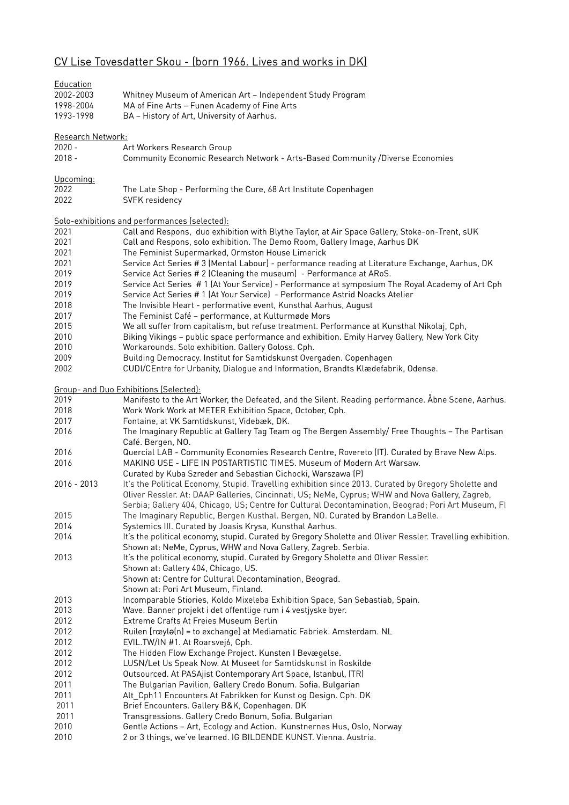## CV Lise Tovesdatter Skou - (born 1966. Lives and works in DK)

| Education<br>2002-2003<br>1998-2004 | Whitney Museum of American Art - Independent Study Program<br>MA of Fine Arts - Funen Academy of Fine Arts                                                                                                                                                                                                      |
|-------------------------------------|-----------------------------------------------------------------------------------------------------------------------------------------------------------------------------------------------------------------------------------------------------------------------------------------------------------------|
| 1993-1998                           | BA - History of Art, University of Aarhus.                                                                                                                                                                                                                                                                      |
| Research Network:                   |                                                                                                                                                                                                                                                                                                                 |
| $2020 -$                            | Art Workers Research Group                                                                                                                                                                                                                                                                                      |
| $2018 -$                            | Community Economic Research Network - Arts-Based Community /Diverse Economies                                                                                                                                                                                                                                   |
| Upcoming:                           |                                                                                                                                                                                                                                                                                                                 |
| 2022                                | The Late Shop - Performing the Cure, 68 Art Institute Copenhagen                                                                                                                                                                                                                                                |
| 2022                                | SVFK residency                                                                                                                                                                                                                                                                                                  |
|                                     | Solo-exhibitions and performances (selected):                                                                                                                                                                                                                                                                   |
| 2021                                | Call and Respons, duo exhibition with Blythe Taylor, at Air Space Gallery, Stoke-on-Trent, sUK                                                                                                                                                                                                                  |
| 2021                                | Call and Respons, solo exhibition. The Demo Room, Gallery Image, Aarhus DK                                                                                                                                                                                                                                      |
| 2021                                | The Feminist Supermarked, Ormston House Limerick                                                                                                                                                                                                                                                                |
| 2021                                | Service Act Series # 3 (Mental Labour) - performance reading at Literature Exchange, Aarhus, DK                                                                                                                                                                                                                 |
| 2019                                | Service Act Series # 2 (Cleaning the museum) - Performance at ARoS.                                                                                                                                                                                                                                             |
| 2019                                | Service Act Series #1 (At Your Service) - Performance at symposium The Royal Academy of Art Cph                                                                                                                                                                                                                 |
| 2019                                | Service Act Series # 1 (At Your Service) - Performance Astrid Noacks Atelier                                                                                                                                                                                                                                    |
| 2018                                | The Invisible Heart - performative event, Kunsthal Aarhus, August                                                                                                                                                                                                                                               |
| 2017                                | The Feminist Café - performance, at Kulturmøde Mors                                                                                                                                                                                                                                                             |
| 2015                                | We all suffer from capitalism, but refuse treatment. Performance at Kunsthal Nikolaj, Cph,                                                                                                                                                                                                                      |
| 2010                                | Biking Vikings - public space performance and exhibition. Emily Harvey Gallery, New York City                                                                                                                                                                                                                   |
| 2010                                | Workarounds. Solo exhibition. Gallery Goloss. Cph.                                                                                                                                                                                                                                                              |
| 2009                                | Building Democracy. Institut for Samtidskunst Overgaden. Copenhagen                                                                                                                                                                                                                                             |
| 2002                                | CUDI/CEntre for Urbanity, Dialogue and Information, Brandts Klædefabrik, Odense.                                                                                                                                                                                                                                |
|                                     | Group- and Duo Exhibitions (Selected):                                                                                                                                                                                                                                                                          |
| 2019                                | Manifesto to the Art Worker, the Defeated, and the Silent. Reading performance. Åbne Scene, Aarhus.                                                                                                                                                                                                             |
| 2018                                | Work Work Work at METER Exhibition Space, October, Cph.                                                                                                                                                                                                                                                         |
| 2017                                | Fontaine, at VK Samtidskunst, Videbæk, DK.                                                                                                                                                                                                                                                                      |
| 2016                                | The Imaginary Republic at Gallery Tag Team og The Bergen Assembly/ Free Thoughts - The Partisan<br>Café. Bergen, NO.                                                                                                                                                                                            |
| 2016                                | Quercial LAB - Community Economies Research Centre, Rovereto (IT). Curated by Brave New Alps.                                                                                                                                                                                                                   |
| 2016                                | MAKING USE - LIFE IN POSTARTISTIC TIMES. Museum of Modern Art Warsaw.                                                                                                                                                                                                                                           |
|                                     | Curated by Kuba Szreder and Sebastian Cichocki, Warszawa (P)                                                                                                                                                                                                                                                    |
| 2016 - 2013                         | It's the Political Economy, Stupid. Travelling exhibition since 2013. Curated by Gregory Sholette and<br>Oliver Ressler. At: DAAP Galleries, Cincinnati, US; NeMe, Cyprus; WHW and Nova Gallery, Zagreb,<br>Serbia; Gallery 404, Chicago, US; Centre for Cultural Decontamination, Beograd; Pori Art Museum, Fl |
| 2015                                | The Imaginary Republic, Bergen Kusthal. Bergen, NO. Curated by Brandon LaBelle.                                                                                                                                                                                                                                 |
| 2014                                | Systemics III. Curated by Joasis Krysa, Kunsthal Aarhus.                                                                                                                                                                                                                                                        |
| 2014                                | It's the political economy, stupid. Curated by Gregory Sholette and Oliver Ressler. Travelling exhibition.<br>Shown at: NeMe, Cyprus, WHW and Nova Gallery, Zagreb. Serbia.                                                                                                                                     |
| 2013                                | It's the political economy, stupid. Curated by Gregory Sholette and Oliver Ressler.                                                                                                                                                                                                                             |
|                                     | Shown at: Gallery 404, Chicago, US.<br>Shown at: Centre for Cultural Decontamination, Beograd.                                                                                                                                                                                                                  |
|                                     | Shown at: Pori Art Museum, Finland.                                                                                                                                                                                                                                                                             |
| 2013                                | Incomparable Stiories, Koldo Mixeleba Exhibition Space, San Sebastiab, Spain.                                                                                                                                                                                                                                   |
| 2013                                | Wave. Banner projekt i det offentlige rum i 4 vestjyske byer.                                                                                                                                                                                                                                                   |
| 2012                                | Extreme Crafts At Freies Museum Berlin                                                                                                                                                                                                                                                                          |
| 2012                                | Ruilen [rœylə(n) = to exchange] at Mediamatic Fabriek. Amsterdam. NL                                                                                                                                                                                                                                            |
| 2012                                | EVIL.TW/IN #1. At Roarsvej6, Cph.                                                                                                                                                                                                                                                                               |
| 2012                                | The Hidden Flow Exchange Project. Kunsten I Bevægelse.                                                                                                                                                                                                                                                          |
| 2012                                | LUSN/Let Us Speak Now. At Museet for Samtidskunst in Roskilde                                                                                                                                                                                                                                                   |
| 2012                                | Outsourced. At PASAjist Contemporary Art Space, Istanbul, (TR)                                                                                                                                                                                                                                                  |
| 2011                                | The Bulgarian Pavilion, Gallery Credo Bonum. Sofia. Bulgarian                                                                                                                                                                                                                                                   |
| 2011                                | Alt_Cph11 Encounters At Fabrikken for Kunst og Design. Cph. DK                                                                                                                                                                                                                                                  |
| 2011                                | Brief Encounters. Gallery B&K, Copenhagen. DK                                                                                                                                                                                                                                                                   |
| 2011                                | Transgressions. Gallery Credo Bonum, Sofia. Bulgarian                                                                                                                                                                                                                                                           |
| 2010                                | Gentle Actions - Art, Ecology and Action. Kunstnernes Hus, Oslo, Norway                                                                                                                                                                                                                                         |
| 2010                                | 2 or 3 things, we've learned. IG BILDENDE KUNST. Vienna. Austria.                                                                                                                                                                                                                                               |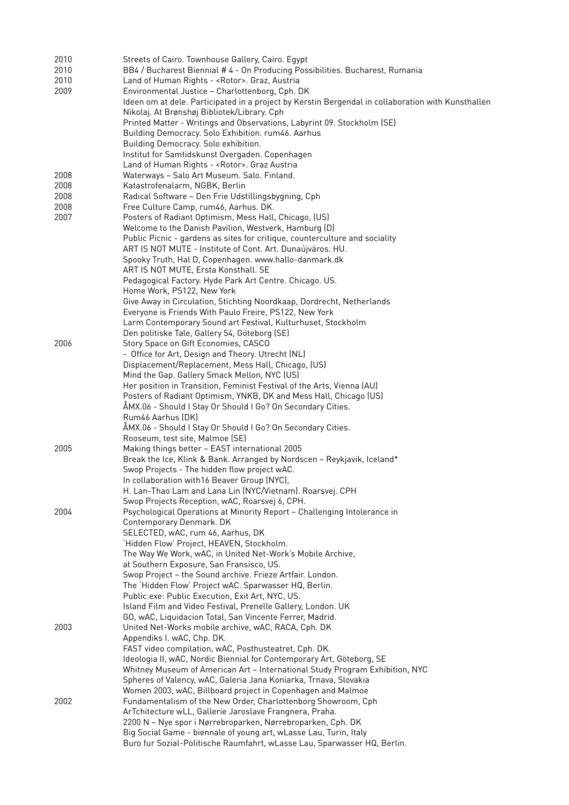| 2010 | Streets of Cairo. Townhouse Gallery, Cairo. Egypt                                                  |
|------|----------------------------------------------------------------------------------------------------|
| 2010 | BB4 / Bucharest Biennial # 4 - On Producing Possibilities. Bucharest, Rumania                      |
| 2010 | Land of Human Rights - < Rotor>. Graz, Austria                                                     |
| 2009 | Environmental Justice - Charlottenborg, Cph. DK                                                    |
|      | Ideen om at dele. Participated in a project by Kerstin Bergendal in collaboration with Kunsthallen |
|      | Nikolaj. At Brønshøj Bibliotek/Library. Cph                                                        |
|      | Printed Matter - Writings and Observations, Labyrint 09. Stockholm (SE)                            |
|      | Building Democracy. Solo Exhibition. rum46. Aarhus                                                 |
|      |                                                                                                    |
|      | Building Democracy. Solo exhibition.                                                               |
|      | Institut for Samtidskunst Overgaden. Copenhagen                                                    |
|      | Land of Human Rights - < Rotor>. Graz Austria                                                      |
| 2008 | Waterways - Salo Art Museum. Salo. Finland.                                                        |
| 2008 | Katastrofenalarm, NGBK, Berlin                                                                     |
| 2008 | Radical Software - Den Frie Udstillingsbygning, Cph                                                |
| 2008 | Free Culture Camp, rum46, Aarhus. DK.                                                              |
| 2007 | Posters of Radiant Optimism, Mess Hall, Chicago, (US)                                              |
|      | Welcome to the Danish Pavilion, Westverk, Hamburg (D)                                              |
|      | Public Picnic - gardens as sites for critique, counterculture and sociality                        |
|      | ART IS NOT MUTE - Institute of Cont. Art. Dunaújváros. HU.                                         |
|      | Spooky Truth, Hal D, Copenhagen. www.hallo-danmark.dk                                              |
|      | ART IS NOT MUTE, Ersta Konsthall. SE                                                               |
|      | Pedagogical Factory. Hyde Park Art Centre. Chicago. US.                                            |
|      |                                                                                                    |
|      | Home Work, PS122, New York                                                                         |
|      | Give Away in Circulation, Stichting Noordkaap, Dordrecht, Netherlands                              |
|      | Everyone is Friends With Paulo Freire, PS122, New York                                             |
|      | Larm Contemporary Sound art Festival, Kulturhuset, Stockholm                                       |
|      | Den politiske Tale, Gallery 54, Göteborg (SE)                                                      |
| 2006 | Story Space on Gift Economies, CASCO                                                               |
|      | - Office for Art, Design and Theory. Utrecht (NL)                                                  |
|      | Displacement/Replacement, Mess Hall, Chicago, (US)                                                 |
|      | Mind the Gap. Gallery Smack Mellon, NYC (US)                                                       |
|      | Her position in Transition, Feminist Festival of the Arts, Vienna (AU)                             |
|      | Posters of Radiant Optimism, YNKB, DK and Mess Hall, Chicago (US)                                  |
|      | ÅMX.06 - Should I Stay Or Should I Go? On Secondary Cities.                                        |
|      | Rum46 Aarhus (DK)                                                                                  |
|      | ÅMX.06 - Should I Stay Or Should I Go? On Secondary Cities.                                        |
|      | Rooseum, test site, Malmoe (SE)                                                                    |
| 2005 | Making things better - EAST international 2005                                                     |
|      | Break the Ice, Klink & Bank. Arranged by Nordscen - Reykjavik, Iceland*                            |
|      | Swop Projects - The hidden flow project wAC.                                                       |
|      |                                                                                                    |
|      | In collaboration with 16 Beaver Group (NYC),                                                       |
|      | H. Lan-Thao Lam and Lana Lin (NYC/Vietnam). Roarsvej. CPH                                          |
|      | Swop Projects Reception, wAC, Roarsvej 6, CPH.                                                     |
| 2004 | Psychological Operations at Minority Report - Challenging Intolerance in                           |
|      | Contemporary Denmark. DK                                                                           |
|      | SELECTED, wAC, rum 46, Aarhus, DK                                                                  |
|      | 'Hidden Flow' Project, HEAVEN, Stockholm.                                                          |
|      | The Way We Work, wAC, in United Net-Work's Mobile Archive,                                         |
|      | at Southern Exposure, San Fransisco, US.                                                           |
|      | Swop Project - the Sound archive. Frieze Artfair. London.                                          |
|      | The 'Hidden Flow' Project wAC. Sparwasser HQ, Berlin.                                              |
|      | Public.exe: Public Execution, Exit Art, NYC, US.                                                   |
|      | Island Film and Video Festival, Prenelle Gallery, London. UK                                       |
|      | GO, wAC, Liquidacion Total, San Vincente Ferrer, Madrid.                                           |
| 2003 | United Net-Works mobile archive, wAC, RACA, Cph. DK                                                |
|      |                                                                                                    |
|      | Appendiks I. wAC, Chp. DK.                                                                         |
|      | FAST video compilation, wAC, Posthusteatret, Cph. DK.                                              |
|      | Ideologia II, wAC, Nordic Biennial for Contemporary Art, Göteborg, SE                              |
|      | Whitney Museum of American Art - International Study Program Exhibition, NYC                       |
|      | Spheres of Valency, wAC, Galeria Jana Koniarka, Trnava, Slovakia                                   |
|      | Women 2003, wAC, Billboard project in Copenhagen and Malmoe                                        |
| 2002 | Fundamentalism of the New Order, Charlottenborg Showroom, Cph                                      |
|      | ArTchitecture wLL, Gallerie Jaroslave Frangnera, Praha.                                            |
|      | 2200 N - Nye spor i Nørrebroparken, Nørrebroparken, Cph. DK                                        |
|      | Big Social Game - biennale of young art, wLasse Lau, Turin, Italy                                  |
|      | Buro fur Sozial-Politische Raumfahrt, wLasse Lau, Sparwasser HQ, Berlin.                           |
|      |                                                                                                    |